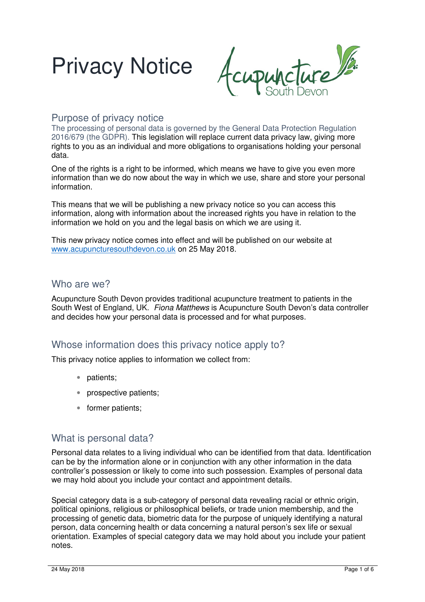



#### Purpose of privacy notice

The processing of personal data is governed by the General Data Protection Regulation 2016/679 (the GDPR). This legislation will replace current data privacy law, giving more rights to you as an individual and more obligations to organisations holding your personal data.

One of the rights is a right to be informed, which means we have to give you even more information than we do now about the way in which we use, share and store your personal information.

This means that we will be publishing a new privacy notice so you can access this information, along with information about the increased rights you have in relation to the information we hold on you and the legal basis on which we are using it.

This new privacy notice comes into effect and will be published on our website at www.acupuncturesouthdevon.co.uk on 25 May 2018.

#### Who are we?

Acupuncture South Devon provides traditional acupuncture treatment to patients in the South West of England, UK. Fiona Matthews is Acupuncture South Devon's data controller and decides how your personal data is processed and for what purposes.

### Whose information does this privacy notice apply to?

This privacy notice applies to information we collect from:

- patients;
- prospective patients;
- former patients;

#### What is personal data?

Personal data relates to a living individual who can be identified from that data. Identification can be by the information alone or in conjunction with any other information in the data controller's possession or likely to come into such possession. Examples of personal data we may hold about you include your contact and appointment details.

Special category data is a sub-category of personal data revealing racial or ethnic origin, political opinions, religious or philosophical beliefs, or trade union membership, and the processing of genetic data, biometric data for the purpose of uniquely identifying a natural person, data concerning health or data concerning a natural person's sex life or sexual orientation. Examples of special category data we may hold about you include your patient notes.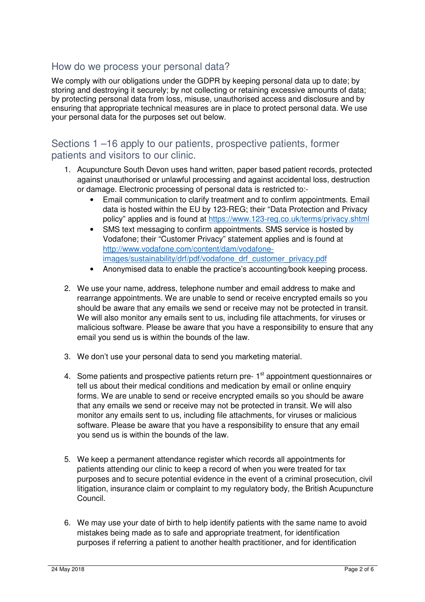## How do we process your personal data?

We comply with our obligations under the GDPR by keeping personal data up to date; by storing and destroying it securely; by not collecting or retaining excessive amounts of data; by protecting personal data from loss, misuse, unauthorised access and disclosure and by ensuring that appropriate technical measures are in place to protect personal data. We use your personal data for the purposes set out below.

### Sections 1 –16 apply to our patients, prospective patients, former patients and visitors to our clinic.

- 1. Acupuncture South Devon uses hand written, paper based patient records, protected against unauthorised or unlawful processing and against accidental loss, destruction or damage. Electronic processing of personal data is restricted to:-
	- Email communication to clarify treatment and to confirm appointments. Email data is hosted within the EU by 123-REG; their "Data Protection and Privacy policy" applies and is found at https://www.123-reg.co.uk/terms/privacy.shtml
	- SMS text messaging to confirm appointments. SMS service is hosted by Vodafone; their "Customer Privacy" statement applies and is found at http://www.vodafone.com/content/dam/vodafoneimages/sustainability/drf/pdf/vodafone\_drf\_customer\_privacy.pdf
	- Anonymised data to enable the practice's accounting/book keeping process.
- 2. We use your name, address, telephone number and email address to make and rearrange appointments. We are unable to send or receive encrypted emails so you should be aware that any emails we send or receive may not be protected in transit. We will also monitor any emails sent to us, including file attachments, for viruses or malicious software. Please be aware that you have a responsibility to ensure that any email you send us is within the bounds of the law.
- 3. We don't use your personal data to send you marketing material.
- 4. Some patients and prospective patients return pre- 1<sup>st</sup> appointment questionnaires or tell us about their medical conditions and medication by email or online enquiry forms. We are unable to send or receive encrypted emails so you should be aware that any emails we send or receive may not be protected in transit. We will also monitor any emails sent to us, including file attachments, for viruses or malicious software. Please be aware that you have a responsibility to ensure that any email you send us is within the bounds of the law.
- 5. We keep a permanent attendance register which records all appointments for patients attending our clinic to keep a record of when you were treated for tax purposes and to secure potential evidence in the event of a criminal prosecution, civil litigation, insurance claim or complaint to my regulatory body, the British Acupuncture Council.
- 6. We may use your date of birth to help identify patients with the same name to avoid mistakes being made as to safe and appropriate treatment, for identification purposes if referring a patient to another health practitioner, and for identification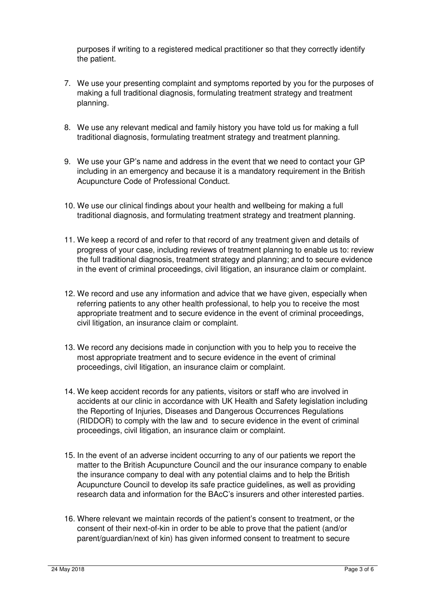purposes if writing to a registered medical practitioner so that they correctly identify the patient.

- 7. We use your presenting complaint and symptoms reported by you for the purposes of making a full traditional diagnosis, formulating treatment strategy and treatment planning.
- 8. We use any relevant medical and family history you have told us for making a full traditional diagnosis, formulating treatment strategy and treatment planning.
- 9. We use your GP's name and address in the event that we need to contact your GP including in an emergency and because it is a mandatory requirement in the British Acupuncture Code of Professional Conduct.
- 10. We use our clinical findings about your health and wellbeing for making a full traditional diagnosis, and formulating treatment strategy and treatment planning.
- 11. We keep a record of and refer to that record of any treatment given and details of progress of your case, including reviews of treatment planning to enable us to: review the full traditional diagnosis, treatment strategy and planning; and to secure evidence in the event of criminal proceedings, civil litigation, an insurance claim or complaint.
- 12. We record and use any information and advice that we have given, especially when referring patients to any other health professional, to help you to receive the most appropriate treatment and to secure evidence in the event of criminal proceedings, civil litigation, an insurance claim or complaint.
- 13. We record any decisions made in conjunction with you to help you to receive the most appropriate treatment and to secure evidence in the event of criminal proceedings, civil litigation, an insurance claim or complaint.
- 14. We keep accident records for any patients, visitors or staff who are involved in accidents at our clinic in accordance with UK Health and Safety legislation including the Reporting of Injuries, Diseases and Dangerous Occurrences Regulations (RIDDOR) to comply with the law and to secure evidence in the event of criminal proceedings, civil litigation, an insurance claim or complaint.
- 15. In the event of an adverse incident occurring to any of our patients we report the matter to the British Acupuncture Council and the our insurance company to enable the insurance company to deal with any potential claims and to help the British Acupuncture Council to develop its safe practice guidelines, as well as providing research data and information for the BAcC's insurers and other interested parties.
- 16. Where relevant we maintain records of the patient's consent to treatment, or the consent of their next-of-kin in order to be able to prove that the patient (and/or parent/guardian/next of kin) has given informed consent to treatment to secure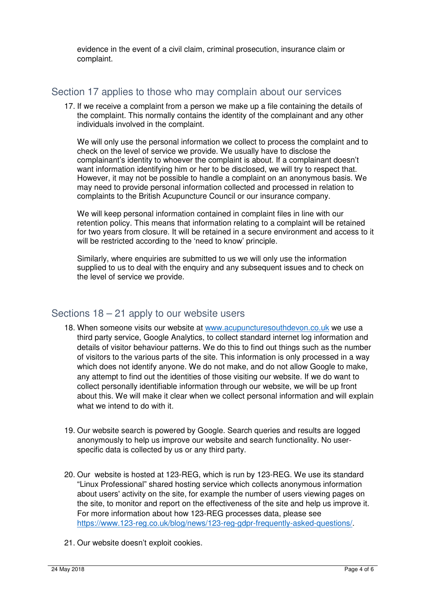evidence in the event of a civil claim, criminal prosecution, insurance claim or complaint.

### Section 17 applies to those who may complain about our services

17. If we receive a complaint from a person we make up a file containing the details of the complaint. This normally contains the identity of the complainant and any other individuals involved in the complaint.

We will only use the personal information we collect to process the complaint and to check on the level of service we provide. We usually have to disclose the complainant's identity to whoever the complaint is about. If a complainant doesn't want information identifying him or her to be disclosed, we will try to respect that. However, it may not be possible to handle a complaint on an anonymous basis. We may need to provide personal information collected and processed in relation to complaints to the British Acupuncture Council or our insurance company.

We will keep personal information contained in complaint files in line with our retention policy. This means that information relating to a complaint will be retained for two years from closure. It will be retained in a secure environment and access to it will be restricted according to the 'need to know' principle.

Similarly, where enquiries are submitted to us we will only use the information supplied to us to deal with the enquiry and any subsequent issues and to check on the level of service we provide.

### Sections 18 – 21 apply to our website users

- 18. When someone visits our website at www.acupuncturesouthdevon.co.uk we use a third party service, Google Analytics, to collect standard internet log information and details of visitor behaviour patterns. We do this to find out things such as the number of visitors to the various parts of the site. This information is only processed in a way which does not identify anyone. We do not make, and do not allow Google to make, any attempt to find out the identities of those visiting our website. If we do want to collect personally identifiable information through our website, we will be up front about this. We will make it clear when we collect personal information and will explain what we intend to do with it.
- 19. Our website search is powered by Google. Search queries and results are logged anonymously to help us improve our website and search functionality. No userspecific data is collected by us or any third party.
- 20. Our website is hosted at 123-REG, which is run by 123-REG. We use its standard "Linux Professional" shared hosting service which collects anonymous information about users' activity on the site, for example the number of users viewing pages on the site, to monitor and report on the effectiveness of the site and help us improve it. For more information about how 123-REG processes data, please see https://www.123-reg.co.uk/blog/news/123-reg-gdpr-frequently-asked-questions/.
- 21. Our website doesn't exploit cookies.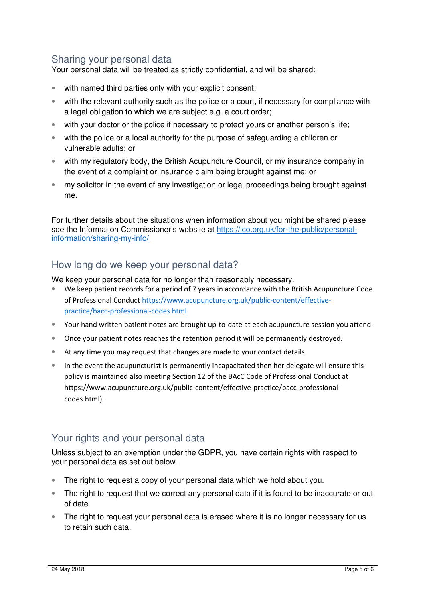# Sharing your personal data

Your personal data will be treated as strictly confidential, and will be shared:

- with named third parties only with your explicit consent;
- with the relevant authority such as the police or a court, if necessary for compliance with a legal obligation to which we are subject e.g. a court order;
- with your doctor or the police if necessary to protect yours or another person's life;
- with the police or a local authority for the purpose of safeguarding a children or vulnerable adults; or
- with my regulatory body, the British Acupuncture Council, or my insurance company in the event of a complaint or insurance claim being brought against me; or
- my solicitor in the event of any investigation or legal proceedings being brought against me.

For further details about the situations when information about you might be shared please see the Information Commissioner's website at https://ico.org.uk/for-the-public/personalinformation/sharing-my-info/

### How long do we keep your personal data?

We keep your personal data for no longer than reasonably necessary.

- We keep patient records for a period of 7 years in accordance with the British Acupuncture Code of Professional Conduct https://www.acupuncture.org.uk/public-content/effectivepractice/bacc-professional-codes.html
- Your hand written patient notes are brought up-to-date at each acupuncture session you attend.
- Once your patient notes reaches the retention period it will be permanently destroyed.
- At any time you may request that changes are made to your contact details.
- In the event the acupuncturist is permanently incapacitated then her delegate will ensure this policy is maintained also meeting Section 12 of the BAcC Code of Professional Conduct at https://www.acupuncture.org.uk/public-content/effective-practice/bacc-professionalcodes.html).

### Your rights and your personal data

Unless subject to an exemption under the GDPR, you have certain rights with respect to your personal data as set out below.

- The right to request a copy of your personal data which we hold about you.
- The right to request that we correct any personal data if it is found to be inaccurate or out of date.
- The right to request your personal data is erased where it is no longer necessary for us to retain such data.